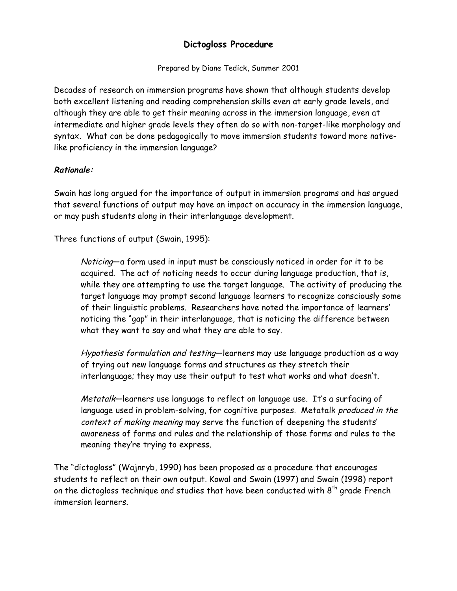# **Dictogloss Procedure**

Prepared by Diane Tedick, Summer 2001

Decades of research on immersion programs have shown that although students develop both excellent listening and reading comprehension skills even at early grade levels, and although they are able to get their meaning across in the immersion language, even at intermediate and higher grade levels they often do so with non-target-like morphology and syntax. What can be done pedagogically to move immersion students toward more nativelike proficiency in the immersion language?

## **Rationale:**

Swain has long argued for the importance of output in immersion programs and has argued that several functions of output may have an impact on accuracy in the immersion language, or may push students along in their interlanguage development.

Three functions of output (Swain, 1995):

Noticing—a form used in input must be consciously noticed in order for it to be acquired. The act of noticing needs to occur during language production, that is, while they are attempting to use the target language. The activity of producing the target language may prompt second language learners to recognize consciously some of their linguistic problems. Researchers have noted the importance of learners' noticing the "gap" in their interlanguage, that is noticing the difference between what they want to say and what they are able to say.

Hypothesis formulation and testing-learners may use language production as a way of trying out new language forms and structures as they stretch their interlanguage; they may use their output to test what works and what doesn't.

Metatalk—learners use language to reflect on language use. It's a surfacing of language used in problem-solving, for cognitive purposes. Metatalk produced in the context of making meaning may serve the function of deepening the students' awareness of forms and rules and the relationship of those forms and rules to the meaning they're trying to express.

The "dictogloss" (Wajnryb, 1990) has been proposed as a procedure that encourages students to reflect on their own output. Kowal and Swain (1997) and Swain (1998) report on the dictogloss technique and studies that have been conducted with 8<sup>th</sup> grade French immersion learners.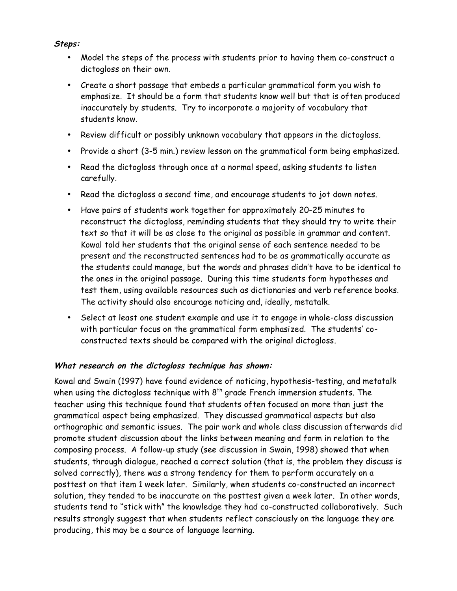#### **Steps:**

- Model the steps of the process with students prior to having them co-construct a dictogloss on their own.
- Create a short passage that embeds a particular grammatical form you wish to emphasize. It should be a form that students know well but that is often produced inaccurately by students. Try to incorporate a majority of vocabulary that students know.
- Review difficult or possibly unknown vocabulary that appears in the dictogloss.
- Provide a short (3-5 min.) review lesson on the grammatical form being emphasized.
- Read the dictogloss through once at a normal speed, asking students to listen carefully.
- Read the dictogloss a second time, and encourage students to jot down notes.
- Have pairs of students work together for approximately 20-25 minutes to reconstruct the dictogloss, reminding students that they should try to write their text so that it will be as close to the original as possible in grammar and content. Kowal told her students that the original sense of each sentence needed to be present and the reconstructed sentences had to be as grammatically accurate as the students could manage, but the words and phrases didn't have to be identical to the ones in the original passage. During this time students form hypotheses and test them, using available resources such as dictionaries and verb reference books. The activity should also encourage noticing and, ideally, metatalk.
- Select at least one student example and use it to engage in whole-class discussion with particular focus on the grammatical form emphasized. The students' coconstructed texts should be compared with the original dictogloss.

#### **What research on the dictogloss technique has shown:**

Kowal and Swain (1997) have found evidence of noticing, hypothesis-testing, and metatalk when using the dictogloss technique with  $8<sup>th</sup>$  grade French immersion students. The teacher using this technique found that students often focused on more than just the grammatical aspect being emphasized. They discussed grammatical aspects but also orthographic and semantic issues. The pair work and whole class discussion afterwards did promote student discussion about the links between meaning and form in relation to the composing process. A follow-up study (see discussion in Swain, 1998) showed that when students, through dialogue, reached a correct solution (that is, the problem they discuss is solved correctly), there was a strong tendency for them to perform accurately on a posttest on that item 1 week later. Similarly, when students co-constructed an incorrect solution, they tended to be inaccurate on the posttest given a week later. In other words, students tend to "stick with" the knowledge they had co-constructed collaboratively. Such results strongly suggest that when students reflect consciously on the language they are producing, this may be a source of language learning.